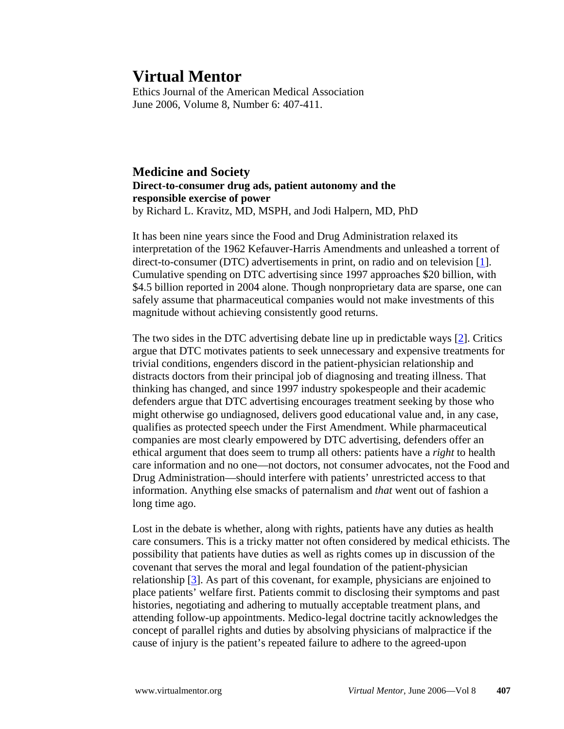**Virtual Mentor**<br>Ethics Journal of the American Medical Association June 2006, Volume 8, Number 6: 407-411.

**Medicine and Society Direct-to-consumer drug ads, patient autonomy and the responsible exercise of power** by Richard L. Kravitz, MD, MSPH, and Jodi Halpern, MD, PhD

It has been nine years since the Food and Drug Administration relaxed its interpretation of the 1962 Kefauver-Harris Amendments and unleashed a torrent of direct-to-consumer (DTC) advertisements in print, on radio and on television [1]. Cumulative spending on DTC advertising since 1997 approaches \$20 billion, with \$4.5 billion reported in 2004 alone. Though nonproprietary data are sparse, one can safely assume that pharmaceutical companies would not make investments of this magnitude without achieving consistently good returns.

The two sides in the DTC advertising debate line up in predictable ways [2]. Critics argue that DTC motivates patients to seek unnecessary and expensive treatments for trivial conditions, engenders discord in the patient-physician relationship and distracts doctors from their principal job of diagnosing and treating illness. That thinking has changed, and since 1997 industry spokespeople and their academic defenders argue that DTC advertising encourages treatment seeking by those who might otherwise go undiagnosed, delivers good educational value and, in any case, qualifies as protected speech under the First Amendment. While pharmaceutical companies are most clearly empowered by DTC advertising, defenders offer an ethical argument that does seem to trump all others: patients have a *right* to health care information and no one—not doctors, not consumer advocates, not the Food and Drug Administration—should interfere with patients' unrestricted access to that information. Anything else smacks of paternalism and *that* went out of fashion a long time ago.

Lost in the debate is whether, along with rights, patients have any duties as health care consumers. This is a tricky matter not often considered by medical ethicists. The possibility that patients have duties as well as rights comes up in discussion of the covenant that serves the moral and legal foundation of the patient-physician relationship [3]. As part of this covenant, for example, physicians are enjoined to place patients' welfare first. Patients commit to disclosing their symptoms and past histories, negotiating and adhering to mutually acceptable treatment plans, and attending follow-up appointments. Medico-legal doctrine tacitly acknowledges the concept of parallel rights and duties by absolving physicians of malpractice if the cause of injury is the patient's repeated failure to adhere to the agreed-upon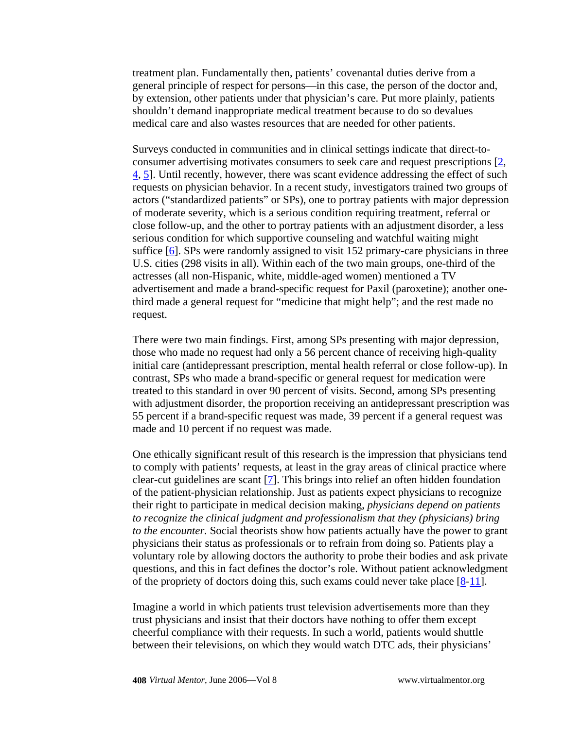treatment plan. Fundamentally then, patients' covenantal duties derive from a general principle of respect for persons—in this case, the person of the doctor and, by extension, other patients under that physician's care. Put more plainly, patients shouldn't demand inappropriate medical treatment because to do so devalues medical care and also wastes resources that are needed for other patients.

Surveys conducted in communities and in clinical settings indicate that direct-toconsumer advertising motivates consumers to seek care and request prescriptions [2, 4, 5]. Until recently, however, there was scant evidence addressing the effect of such requests on physician behavior. In a recent study, investigators trained two groups of actors ("standardized patients" or SPs), one to portray patients with major depression of moderate severity, which is a serious condition requiring treatment, referral or close follow-up, and the other to portray patients with an adjustment disorder, a less serious condition for which supportive counseling and watchful waiting might suffice [6]. SPs were randomly assigned to visit 152 primary-care physicians in three U.S. cities (298 visits in all). Within each of the two main groups, one-third of the actresses (all non-Hispanic, white, middle-aged women) mentioned a TV advertisement and made a brand-specific request for Paxil (paroxetine); another onethird made a general request for "medicine that might help"; and the rest made no request.

There were two main findings. First, among SPs presenting with major depression, those who made no request had only a 56 percent chance of receiving high-quality initial care (antidepressant prescription, mental health referral or close follow-up). In contrast, SPs who made a brand-specific or general request for medication were treated to this standard in over 90 percent of visits. Second, among SPs presenting with adjustment disorder, the proportion receiving an antidepressant prescription was 55 percent if a brand-specific request was made, 39 percent if a general request was made and 10 percent if no request was made.

One ethically significant result of this research is the impression that physicians tend to comply with patients' requests, at least in the gray areas of clinical practice where clear-cut guidelines are scant [7]. This brings into relief an often hidden foundation of the patient-physician relationship. Just as patients expect physicians to recognize their right to participate in medical decision making, *physicians depend on patients to recognize the clinical judgment and professionalism that they (physicians) bring to the encounter.* Social theorists show how patients actually have the power to grant physicians their status as professionals or to refrain from doing so. Patients play a voluntary role by allowing doctors the authority to probe their bodies and ask private questions, and this in fact defines the doctor's role. Without patient acknowledgment of the propriety of doctors doing this, such exams could never take place  $[8-11]$ .

Imagine a world in which patients trust television advertisements more than they trust physicians and insist that their doctors have nothing to offer them except cheerful compliance with their requests. In such a world, patients would shuttle between their televisions, on which they would watch DTC ads, their physicians'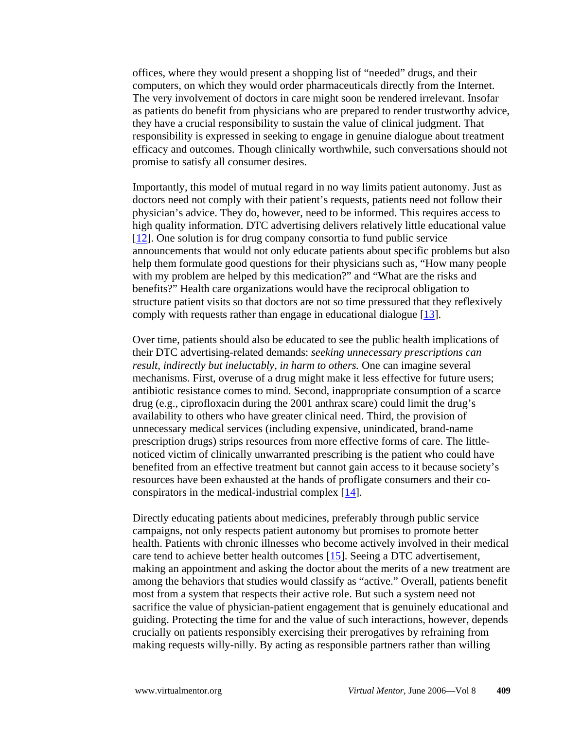offices, where they would present a shopping list of "needed" drugs, and their computers, on which they would order pharmaceuticals directly from the Internet. The very involvement of doctors in care might soon be rendered irrelevant. Insofar as patients do benefit from physicians who are prepared to render trustworthy advice, they have a crucial responsibility to sustain the value of clinical judgment. That responsibility is expressed in seeking to engage in genuine dialogue about treatment efficacy and outcomes. Though clinically worthwhile, such conversations should not promise to satisfy all consumer desires.

Importantly, this model of mutual regard in no way limits patient autonomy. Just as doctors need not comply with their patient's requests, patients need not follow their physician's advice. They do, however, need to be informed. This requires access to high quality information. DTC advertising delivers relatively little educational value [12]. One solution is for drug company consortia to fund public service announcements that would not only educate patients about specific problems but also help them formulate good questions for their physicians such as, "How many people with my problem are helped by this medication?" and "What are the risks and benefits?" Health care organizations would have the reciprocal obligation to structure patient visits so that doctors are not so time pressured that they reflexively comply with requests rather than engage in educational dialogue [13].

Over time, patients should also be educated to see the public health implications of their DTC advertising-related demands: *seeking unnecessary prescriptions can result, indirectly but ineluctably, in harm to others.* One can imagine several mechanisms. First, overuse of a drug might make it less effective for future users; antibiotic resistance comes to mind. Second, inappropriate consumption of a scarce drug (e.g., ciprofloxacin during the 2001 anthrax scare) could limit the drug's availability to others who have greater clinical need. Third, the provision of unnecessary medical services (including expensive, unindicated, brand-name prescription drugs) strips resources from more effective forms of care. The littlenoticed victim of clinically unwarranted prescribing is the patient who could have benefited from an effective treatment but cannot gain access to it because society's resources have been exhausted at the hands of profligate consumers and their coconspirators in the medical-industrial complex [14].

Directly educating patients about medicines, preferably through public service campaigns, not only respects patient autonomy but promises to promote better health. Patients with chronic illnesses who become actively involved in their medical care tend to achieve better health outcomes [15]. Seeing a DTC advertisement, making an appointment and asking the doctor about the merits of a new treatment are among the behaviors that studies would classify as "active." Overall, patients benefit most from a system that respects their active role. But such a system need not sacrifice the value of physician-patient engagement that is genuinely educational and guiding. Protecting the time for and the value of such interactions, however, depends crucially on patients responsibly exercising their prerogatives by refraining from making requests willy-nilly. By acting as responsible partners rather than willing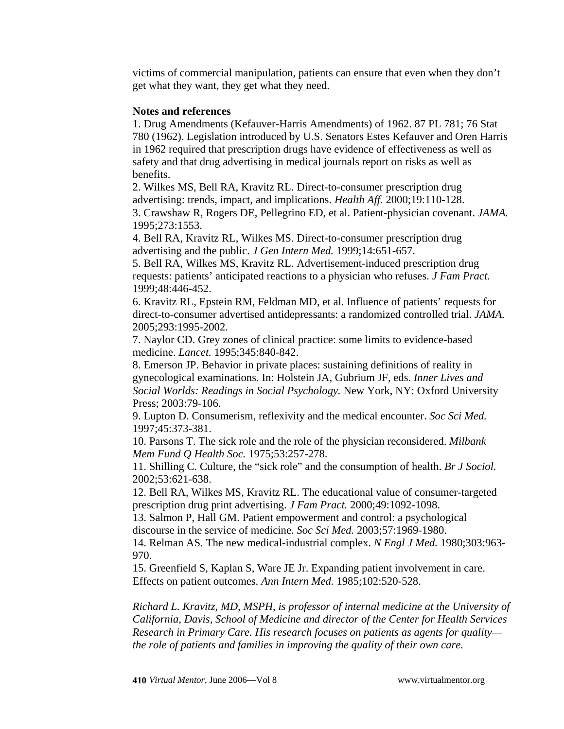victims of commercial manipulation, patients can ensure that even when they don't get what they want, they get what they need.

## **Notes and references**

1. Drug Amendments (Kefauver-Harris Amendments) of 1962. 87 PL 781; 76 Stat 780 (1962). Legislation introduced by U.S. Senators Estes Kefauver and Oren Harris in 1962 required that prescription drugs have evidence of effectiveness as well as safety and that drug advertising in medical journals report on risks as well as benefits.

2. Wilkes MS, Bell RA, Kravitz RL. Direct-to-consumer prescription drug advertising: trends, impact, and implications. *Health Aff.* 2000;19:110-128. 3. Crawshaw R, Rogers DE, Pellegrino ED, et al. Patient-physician covenant. *JAMA.* 1995;273:1553.

4. Bell RA, Kravitz RL, Wilkes MS. Direct-to-consumer prescription drug advertising and the public. *J Gen Intern Med.* 1999;14:651-657.

5. Bell RA, Wilkes MS, Kravitz RL. Advertisement-induced prescription drug requests: patients' anticipated reactions to a physician who refuses. *J Fam Pract.* 1999;48:446-452.

6. Kravitz RL, Epstein RM, Feldman MD, et al. Influence of patients' requests for direct-to-consumer advertised antidepressants: a randomized controlled trial. *JAMA.* 2005;293:1995-2002.

7. Naylor CD. Grey zones of clinical practice: some limits to evidence-based medicine. *Lancet.* 1995;345:840-842.

8. Emerson JP. Behavior in private places: sustaining definitions of reality in gynecological examinations. In: Holstein JA, Gubrium JF, eds. *Inner Lives and Social Worlds: Readings in Social Psychology.* New York, NY: Oxford University Press; 2003:79-106.

9. Lupton D. Consumerism, reflexivity and the medical encounter. *Soc Sci Med.* 1997;45:373-381.

10. Parsons T. The sick role and the role of the physician reconsidered. *Milbank Mem Fund Q Health Soc.* 1975;53:257-278.

11. Shilling C. Culture, the "sick role" and the consumption of health. *Br J Sociol.* 2002;53:621-638.

12. Bell RA, Wilkes MS, Kravitz RL. The educational value of consumer-targeted prescription drug print advertising. *J Fam Pract.* 2000;49:1092-1098.

13. Salmon P, Hall GM. Patient empowerment and control: a psychological discourse in the service of medicine. *Soc Sci Med.* 2003;57:1969-1980.

14. Relman AS. The new medical-industrial complex. *N Engl J Med.* 1980;303:963- 970.

15. Greenfield S, Kaplan S, Ware JE Jr. Expanding patient involvement in care. Effects on patient outcomes. *Ann Intern Med.* 1985;102:520-528.

*Richard L. Kravitz, MD, MSPH, is professor of internal medicine at the University of California, Davis, School of Medicine and director of the Center for Health Services Research in Primary Care. His research focuses on patients as agents for quality the role of patients and families in improving the quality of their own care.*